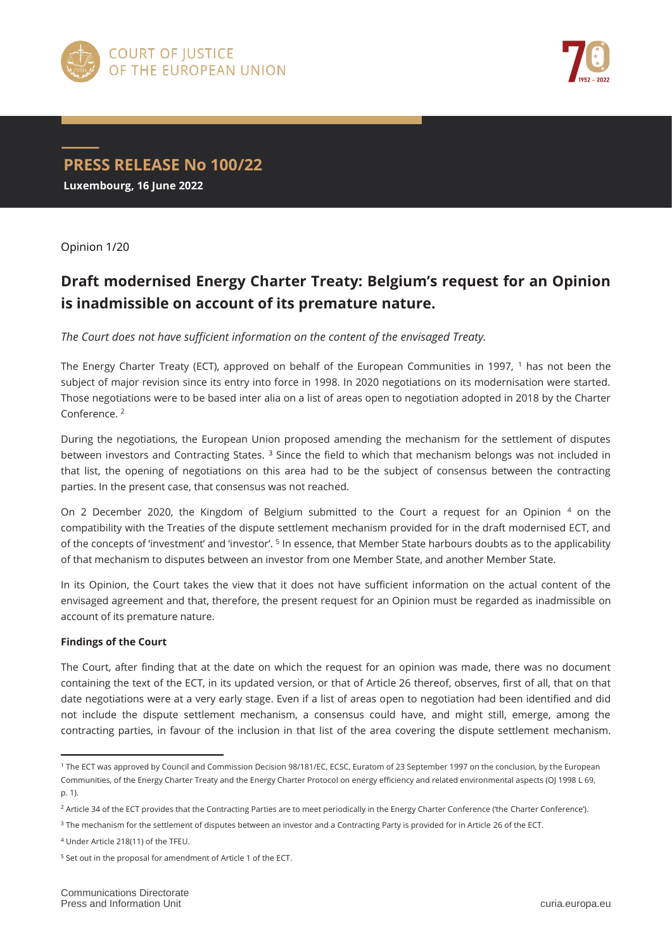



**PRESS RELEASE No 100/22 Luxembourg, 16 June 2022**

Opinion 1/20

## **Draft modernised Energy Charter Treaty: Belgium's request for an Opinion is inadmissible on account of its premature nature.**

*The Court does not have sufficient information on the content of the envisaged Treaty.*

The Energy Charter Treaty (ECT), approved on behalf of the European Communities in 1997,  $1$  has not been the subject of major revision since its entry into force in 1998. In 2020 negotiations on its modernisation were started. Those negotiations were to be based inter alia on a list of areas open to negotiation adopted in 2018 by the Charter Conference. <sup>2</sup>

During the negotiations, the European Union proposed amending the mechanism for the settlement of disputes between investors and Contracting States. <sup>3</sup> Since the field to which that mechanism belongs was not included in that list, the opening of negotiations on this area had to be the subject of consensus between the contracting parties. In the present case, that consensus was not reached.

On 2 December 2020, the Kingdom of Belgium submitted to the Court a request for an Opinion 4 on the compatibility with the Treaties of the dispute settlement mechanism provided for in the draft modernised ECT, and of the concepts of 'investment' and 'investor'. <sup>5</sup> In essence, that Member State harbours doubts as to the applicability of that mechanism to disputes between an investor from one Member State, and another Member State.

In its Opinion, the Court takes the view that it does not have sufficient information on the actual content of the envisaged agreement and that, therefore, the present request for an Opinion must be regarded as inadmissible on account of its premature nature.

## **Findings of the Court**

 $\overline{a}$ 

The Court, after finding that at the date on which the request for an opinion was made, there was no document containing the text of the ECT, in its updated version, or that of Article 26 thereof, observes, first of all, that on that date negotiations were at a very early stage. Even if a list of areas open to negotiation had been identified and did not include the dispute settlement mechanism, a consensus could have, and might still, emerge, among the contracting parties, in favour of the inclusion in that list of the area covering the dispute settlement mechanism.

<sup>1</sup> The ECT was approved by Council and Commission Decision 98/181/EC, ECSC, Euratom of 23 September 1997 on the conclusion, by the European Communities, of the Energy Charter Treaty and the Energy Charter Protocol on energy efficiency and related environmental aspects (OJ 1998 L 69, p. 1).

<sup>&</sup>lt;sup>2</sup> Article 34 of the ECT provides that the Contracting Parties are to meet periodically in the Energy Charter Conference ('the Charter Conference').

<sup>&</sup>lt;sup>3</sup> The mechanism for the settlement of disputes between an investor and a Contracting Party is provided for in Article 26 of the ECT.

<sup>4</sup> Under Article 218(11) of the TFEU.

<sup>5</sup> Set out in the proposal for amendment of Article 1 of the ECT.